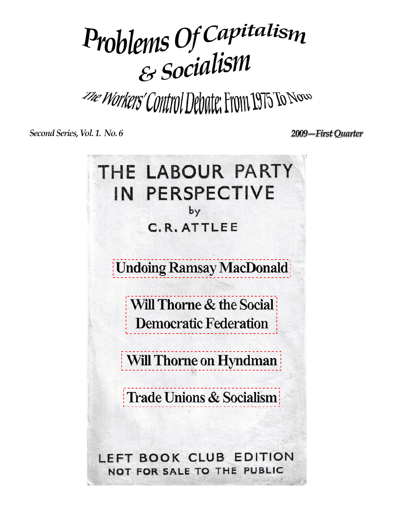# Problems Of Capitalism

The Workers' Control Debate: From 1975 To Now

Second Series, Vol. 1. No. 6

2009—First Quarter

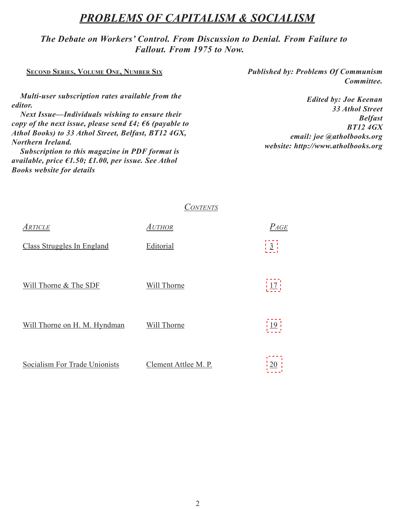# *Problems of Capitalism & Socialism*

# *The Debate on Workers' Control. From Discussion to Denial. From Failure to Fallout. From 1975 to Now.*

| <b>SECOND SERIES, VOLUME ONE, NUMBER SIX</b>                                                                                                                                                                                                                                                                                                                                                                                       | <b>Published by: Problems Of Communism</b><br>Committee.                                                                                                       |
|------------------------------------------------------------------------------------------------------------------------------------------------------------------------------------------------------------------------------------------------------------------------------------------------------------------------------------------------------------------------------------------------------------------------------------|----------------------------------------------------------------------------------------------------------------------------------------------------------------|
| Multi-user subscription rates available from the<br><i>editor.</i><br>Next Issue—Individuals wishing to ensure their<br>copy of the next issue, please send £4; $\epsilon$ 6 (payable to<br>Athol Books) to 33 Athol Street, Belfast, BT12 4GX,<br><b>Northern Ireland.</b><br>Subscription to this magazine in PDF format is<br>available, price $\epsilon$ 1.50; £1.00, per issue. See Athol<br><b>Books website for details</b> | <b>Edited by: Joe Keenan</b><br><b>33 Athol Street</b><br><b>Belfast</b><br><b>BT124GX</b><br>email: joe @atholbooks.org<br>website: http://www.atholbooks.org |

*Contents*

| ARTICLE                           | Author               | $P_{AGE}$      |
|-----------------------------------|----------------------|----------------|
| <b>Class Struggles In England</b> | Editorial            | $\overline{3}$ |
|                                   |                      |                |
| Will Thorne & The SDF             | Will Thorne          | 17             |
|                                   |                      |                |
| Will Thorne on H. M. Hyndman      | Will Thorne          | 19             |
|                                   |                      |                |
| Socialism For Trade Unionists     | Clement Attlee M. P. | 20             |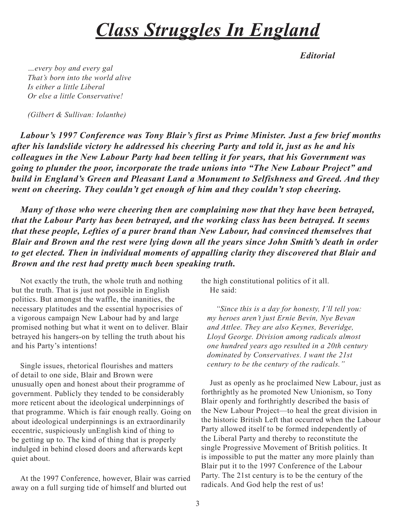# *Class Struggles In England*

*Editorial*

<span id="page-2-0"></span>*…every boy and every gal That's born into the world alive Is either a little Liberal Or else a little Conservative!*

*(Gilbert & Sullivan: Iolanthe)*

*Labour's 1997 Conference was Tony Blair's first as Prime Minister. Just a few brief months after his landslide victory he addressed his cheering Party and told it, just as he and his colleagues in the New Labour Party had been telling it for years, that his Government was going to plunder the poor, incorporate the trade unions into "The New Labour Project" and build in England's Green and Pleasant Land a Monument to Selfishness and Greed. And they went on cheering. They couldn't get enough of him and they couldn't stop cheering.*

*Many of those who were cheering then are complaining now that they have been betrayed, that the Labour Party has been betrayed, and the working class has been betrayed. It seems that these people, Lefties of a purer brand than New Labour, had convinced themselves that Blair and Brown and the rest were lying down all the years since John Smith's death in order to get elected. Then in individual moments of appalling clarity they discovered that Blair and Brown and the rest had pretty much been speaking truth.*

Not exactly the truth, the whole truth and nothing but the truth. That is just not possible in English politics. But amongst the waffle, the inanities, the necessary platitudes and the essential hypocrisies of a vigorous campaign New Labour had by and large promised nothing but what it went on to deliver. Blair betrayed his hangers-on by telling the truth about his and his Party's intentions!

Single issues, rhetorical flourishes and matters of detail to one side, Blair and Brown were unusually open and honest about their programme of government. Publicly they tended to be considerably more reticent about the ideological underpinnings of that programme. Which is fair enough really. Going on about ideological underpinnings is an extraordinarily eccentric, suspiciously unEnglish kind of thing to be getting up to. The kind of thing that is properly indulged in behind closed doors and afterwards kept quiet about.

At the 1997 Conference, however, Blair was carried away on a full surging tide of himself and blurted out

the high constitutional politics of it all. He said:

*"Since this is a day for honesty, I'll tell you: my heroes aren't just Ernie Bevin, Nye Bevan and Attlee. They are also Keynes, Beveridge, Lloyd George. Division among radicals almost one hundred years ago resulted in a 20th century dominated by Conservatives. I want the 21st century to be the century of the radicals."*

Just as openly as he proclaimed New Labour, just as forthrightly as he promoted New Unionism, so Tony Blair openly and forthrightly described the basis of the New Labour Project—to heal the great division in the historic British Left that occurred when the Labour Party allowed itself to be formed independently of the Liberal Party and thereby to reconstitute the single Progressive Movement of British politics. It is impossible to put the matter any more plainly than Blair put it to the 1997 Conference of the Labour Party. The 21st century is to be the century of the radicals. And God help the rest of us!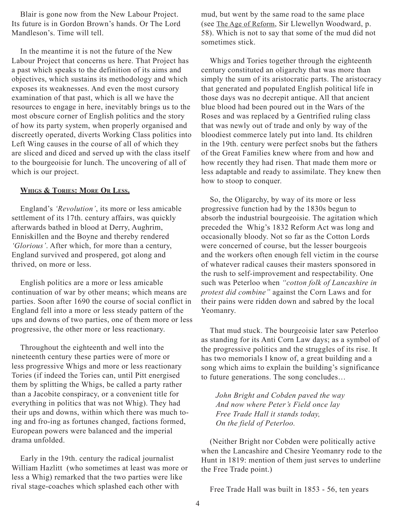Blair is gone now from the New Labour Project. Its future is in Gordon Brown's hands. Or The Lord Mandleson's. Time will tell.

In the meantime it is not the future of the New Labour Project that concerns us here. That Project has a past which speaks to the definition of its aims and objectives, which sustains its methodology and which exposes its weaknesses. And even the most cursory examination of that past, which is all we have the resources to engage in here, inevitably brings us to the most obscure corner of English politics and the story of how its party system, when properly organised and discreetly operated, diverts Working Class politics into Left Wing causes in the course of all of which they are sliced and diced and served up with the class itself to the bourgeoisie for lunch. The uncovering of all of which is our project.

### **Whigs & Tories: More Or Less.**

England's *'Revolution'*, its more or less amicable settlement of its 17th. century affairs, was quickly afterwards bathed in blood at Derry, Aughrim, Enniskillen and the Boyne and thereby rendered *'Glorious'*. After which, for more than a century, England survived and prospered, got along and thrived, on more or less.

English politics are a more or less amicable continuation of war by other means; which means are parties. Soon after 1690 the course of social conflict in England fell into a more or less steady pattern of the ups and downs of two parties, one of them more or less progressive, the other more or less reactionary.

Throughout the eighteenth and well into the nineteenth century these parties were of more or less progressive Whigs and more or less reactionary Tories (if indeed the Tories can, until Pitt energised them by splitting the Whigs, be called a party rather than a Jacobite conspiracy, or a convenient title for everything in politics that was not Whig). They had their ups and downs, within which there was much toing and fro-ing as fortunes changed, factions formed, European powers were balanced and the imperial drama unfolded.

Early in the 19th. century the radical journalist William Hazlitt (who sometimes at least was more or less a Whig) remarked that the two parties were like rival stage-coaches which splashed each other with

mud, but went by the same road to the same place (see The Age of Reform, Sir Llewellyn Woodward, p. 58). Which is not to say that some of the mud did not sometimes stick.

Whigs and Tories together through the eighteenth century constituted an oligarchy that was more than simply the sum of its aristocratic parts. The aristocracy that generated and populated English political life in those days was no decrepit antique. All that ancient blue blood had been poured out in the Wars of the Roses and was replaced by a Gentrified ruling class that was newly out of trade and only by way of the bloodiest commerce lately put into land. Its children in the 19th. century were perfect snobs but the fathers of the Great Families knew where from and how and how recently they had risen. That made them more or less adaptable and ready to assimilate. They knew then how to stoop to conquer.

So, the Oligarchy, by way of its more or less progressive function had by the 1830s begun to absorb the industrial bourgeoisie. The agitation which preceded the Whig's 1832 Reform Act was long and occasionally bloody. Not so far as the Cotton Lords were concerned of course, but the lesser bourgeois and the workers often enough fell victim in the course of whatever radical causes their masters sponsored in the rush to self-improvement and respectability. One such was Peterloo when *"cotton folk of Lancashire in protest did combine"* against the Corn Laws and for their pains were ridden down and sabred by the local Yeomanry.

That mud stuck. The bourgeoisie later saw Peterloo as standing for its Anti Corn Law days; as a symbol of the progressive politics and the struggles of its rise. It has two memorials I know of, a great building and a song which aims to explain the building's significance to future generations. The song concludes…

*John Bright and Cobden paved the way And now where Peter's Field once lay Free Trade Hall it stands today, On the field of Peterloo.*

(Neither Bright nor Cobden were politically active when the Lancashire and Chesire Yeomanry rode to the Hunt in 1819: mention of them just serves to underline the Free Trade point.)

Free Trade Hall was built in 1853 - 56, ten years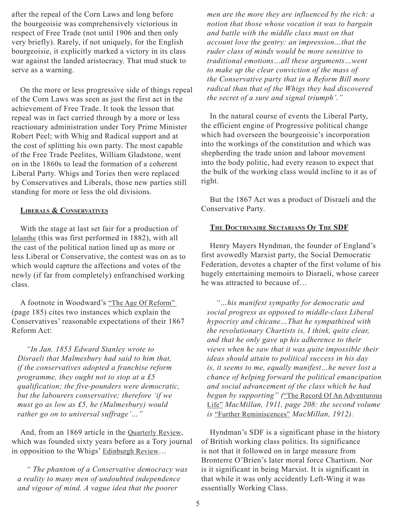after the repeal of the Corn Laws and long before the bourgeoisie was comprehensively victorious in respect of Free Trade (not until 1906 and then only very briefly). Rarely, if not uniquely, for the English bourgeoisie, it explicitly marked a victory in its class war against the landed aristocracy. That mud stuck to serve as a warning.

On the more or less progressive side of things repeal of the Corn Laws was seen as just the first act in the achievement of Free Trade. It took the lesson that repeal was in fact carried through by a more or less reactionary administration under Tory Prime Minister Robert Peel; with Whig and Radical support and at the cost of splitting his own party. The most capable of the Free Trade Peelites, William Gladstone, went on in the 1860s to lead the formation of a coherent Liberal Party. Whigs and Tories then were replaced by Conservatives and Liberals, those new parties still standing for more or less the old divisions.

### **Liberals & Conservatives**

With the stage at last set fair for a production of Iolanthe (this was first performed in 1882), with all the cast of the political nation lined up as more or less Liberal or Conservative, the contest was on as to which would capture the affections and votes of the newly (if far from completely) enfranchised working class.

A footnote in Woodward's "The Age Of Reform" (page 185) cites two instances which explain the Conservatives' reasonable expectations of their 1867 Reform Act:

*"In Jan. 1853 Edward Stanley wrote to Disraeli that Malmesbury had said to him that, if the conservatives adopted a franchise reform programme, they ought not to stop at a £5 qualification; the five-pounders were democratic, but the labourers conservative; therefore 'if we must go as low as £5, he (Malmesbury) would rather go on to universal suffrage'…"*

And, from an 1869 article in the Quarterly Review, which was founded sixty years before as a Tory journal in opposition to the Whigs' Edinburgh Review...

*" The phantom of a Conservative democracy was a reality to many men of undoubted independence and vigour of mind. A vague idea that the poorer* 

*men are the more they are influenced by the rich: a notion that those whose vocation it was to bargain and battle with the middle class must on that account love the gentry: an impression…that the ruder class of minds would be more sensitive to traditional emotions…all these arguments…went to make up the clear conviction of the mass of the Conservative party that in a Reform Bill more radical than that of the Whigs they had discovered the secret of a sure and signal triumph'."*

In the natural course of events the Liberal Party, the efficient engine of Progressive political change which had overseen the bourgeoisie's incorporation into the workings of the constitution and which was shepherding the trade union and labour movement into the body politic, had every reason to expect that the bulk of the working class would incline to it as of right.

But the 1867 Act was a product of Disraeli and the Conservative Party.

### **The Doctrinaire Sectarians Of The SDF**

Henry Mayers Hyndman, the founder of England's first avowedly Marxist party, the Social Democratic Federation, devotes a chapter of the first volume of his hugely entertaining memoirs to Disraeli, whose career he was attracted to because of…

*"…his manifest sympathy for democratic and social progress as opposed to middle-class Liberal hypocrisy and chicane…That he sympathised with the revolutionary Chartists is, I think, quite clear, and that he only gave up his adherence to their views when he saw that it was quite impossible their ideas should attain to political success in his day is, it seems to me, equally manifest…he never lost a chance of helping forward the political emancipation and social advancement of the class which he had begun by supporting" (*"The Record Of An Adventurous Life" *MacMillan, 1911, page 208: the second volume is* "Further Reminiscences" *MacMillan, 1912).*

Hyndman's SDF is a significant phase in the history of British working class politics. Its significance is not that it followed on in large measure from Bronterre O'Brien's later moral force Chartism. Nor is it significant in being Marxist. It is significant in that while it was only accidently Left-Wing it was essentially Working Class.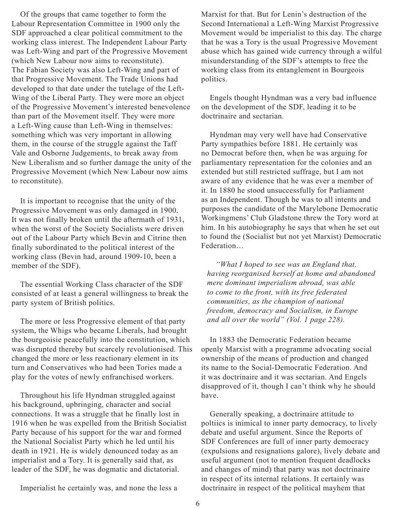Of the groups that came together to form the Labour Representation Committee in 1900 only the SDF approached a clear political commitment to the working class interest. The Independent Labour Party was Left-Wing and part of the Progressive Movement (which New Labour now aims to reconstitute). The Fabian Society was also Left-Wing and part of that Progressive Movement. The Trade Unions had developed to that date under the tutelage of the Left-Wing of the Liberal Party. They were more an object of the Progressive Movement's interested benevolence than part of the Movement itself. They were more a Left-Wing cause than Left-Wing in themselves: something which was very important in allowing them, in the course of the struggle against the Taff Vale and Osborne Judgements, to break away from New Liberalism and so further damage the unity of the Progressive Movement (which New Labour now aims to reconstitute).

It is important to recognise that the unity of the Progressive Movement was only damaged in 1900. It was not finally broken until the aftermath of 1931, when the worst of the Society Socialists were driven out of the Labour Party which Bevin and Citrine then finally subordinated to the political interest of the working class (Bevin had, around 1909-10, been a member of the SDF).

The essential Working Class character of the SDF consisted of at least a general willingness to break the party system of British politics.

The more or less Progressive element of that party system, the Whigs who became Liberals, had brought the bourgeoisie peacefully into the constitution, which was disrupted thereby but scarcely revolutionised. This changed the more or less reactionary element in its turn and Conservatives who had been Tories made a play for the votes of newly enfranchised workers.

Throughout his life Hyndman struggled against his background, upbringing, character and social connections. It was a struggle that he finally lost in 1916 when he was expelled from the British Socialist Party because of his support for the war and formed the National Socialist Party which he led until his death in 1921. He is widely denounced today as an imperialist and a Tory. It is generally said that, as leader of the SDF, he was dogmatic and dictatorial.

Imperialist he certainly was, and none the less a

Marxist for that. But for Lenin's destruction of the Second International a Left-Wing Marxist Progressive Movement would be imperialist to this day. The charge that he was a Tory is the usual Progressive Movement abuse which has gained wide currency through a wilful misunderstanding of the SDF's attempts to free the working class from its entanglement in Bourgeois politics.

Engels thought Hyndman was a very bad influence on the development of the SDF, leading it to be doctrinaire and sectarian.

Hyndman may very well have had Conservative Party sympathies before 1881. He certainly was no Democrat before then, when he was arguing for parliamentary representation for the colonies and an extended but still restricted suffrage, but I am not aware of any evidence that he was ever a member of it. In 1880 he stood unsuccessfully for Parliament as an Independent. Though he was to all intents and purposes the candidate of the Marylebone Democratic Workingmens' Club Gladstone threw the Tory word at him. In his autobiography he says that when he set out to found the (Socialist but not yet Marxist) Democratic Federation…

*"What I hoped to see was an England that, having reorganised herself at home and abandoned mere dominant imperialism abroad, was able to come to the front, with its free federated communities, as the champion of national freedom, democracy and Socialism, in Europe and all over the world" (Vol. 1 page 228).*

In 1883 the Democratic Federation became openly Marxist with a programme advocating social ownership of the means of production and changed its name to the Social-Democratic Federation. And it was doctrinaire and it was sectarian. And Engels disapproved of it, though I can't think why he should have.

Generally speaking, a doctrinaire attitude to poltiics is inimical to inner party democracy, to lively debate and useful argument. Since the Reports of SDF Conferences are full of inner party democracy (expulsions and resignations galore), lively debate and useful argument (not to mention frequent deadlocks and changes of mind) that party was not doctrinaire in respect of its internal relations. It certainly was doctrinaire in respect of the political mayhem that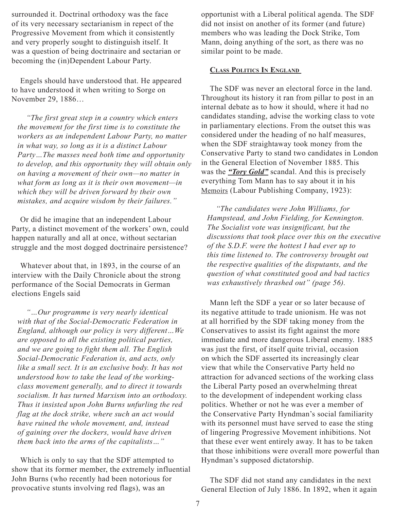surrounded it. Doctrinal orthodoxy was the face of its very necessary sectarianism in repect of the Progressive Movement from which it consistently and very properly sought to distinguish itself. It was a question of being doctrinaire and sectarian or becoming the (in)Dependent Labour Party.

Engels should have understood that. He appeared to have understood it when writing to Sorge on November 29, 1886…

*"The first great step in a country which enters the movement for the first time is to constitute the workers as an independent Labour Party, no matter in what way, so long as it is a distinct Labour Party…The masses need both time and opportunity to develop, and this opportunity they will obtain only on having a movement of their own—no matter in what form as long as it is their own movement—in which they will be driven forward by their own mistakes, and acquire wisdom by their failures."*

Or did he imagine that an independent Labour Party, a distinct movement of the workers' own, could happen naturally and all at once, without sectarian struggle and the most dogged doctrinaire persistence?

Whatever about that, in 1893, in the course of an interview with the Daily Chronicle about the strong performance of the Social Democrats in German elections Engels said

*"…Our programme is very nearly identical with that of the Social-Democratic Federation in England, although our policy is very different…We are opposed to all the existing political parties, and we are going to fight them all. The English Social-Democratic Federation is, and acts, only like a small sect. It is an exclusive body. It has not understood how to take the lead of the workingclass movement generally, and to direct it towards socialism. It has turned Marxism into an orthodoxy. Thus it insisted upon John Burns unfurling the red flag at the dock strike, where such an act would have ruined the whole movement, and, instead of gaining over the dockers, would have driven them back into the arms of the capitalists…"*

Which is only to say that the SDF attempted to show that its former member, the extremely influential John Burns (who recently had been notorious for provocative stunts involving red flags), was an

opportunist with a Liberal political agenda. The SDF did not insist on another of its former (and future) members who was leading the Dock Strike, Tom Mann, doing anything of the sort, as there was no similar point to be made.

## **Class Politics In England**

The SDF was never an electoral force in the land. Throughout its history it ran from pillar to post in an internal debate as to how it should, where it had no candidates standing, advise the working class to vote in parliamentary elections. From the outset this was considered under the heading of no half measures, when the SDF straightaway took money from the Conservative Party to stand two candidates in London in the General Election of November 1885. This was the *"Tory Gold"* scandal. And this is precisely everything Tom Mann has to say about it in his Memoirs (Labour Publishing Company, 1923):

*"The candidates were John Williams, for Hampstead, and John Fielding, for Kennington. The Socialist vote was insignificant, but the discussions that took place over this on the executive of the S.D.F. were the hottest I had ever up to this time listened to. The controversy brought out the respective qualities of the disputants, and the question of what constituted good and bad tactics was exhaustively thrashed out" (page 56).*

Mann left the SDF a year or so later because of its negative attitude to trade unionism. He was not at all horrified by the SDF taking money from the Conservatives to assist its fight against the more immediate and more dangerous Liberal enemy. 1885 was just the first, of itself quite trivial, occasion on which the SDF asserted its increasingly clear view that while the Conservative Party held no attraction for advanced sections of the working class the Liberal Party posed an overwhelming threat to the development of independent working class politics. Whether or not he was ever a member of the Conservative Party Hyndman's social familiarity with its personnel must have served to ease the sting of lingering Progressive Movement inhibitions. Not that these ever went entirely away. It has to be taken that those inhibitions were overall more powerful than Hyndman's supposed dictatorship.

The SDF did not stand any candidates in the next General Election of July 1886. In 1892, when it again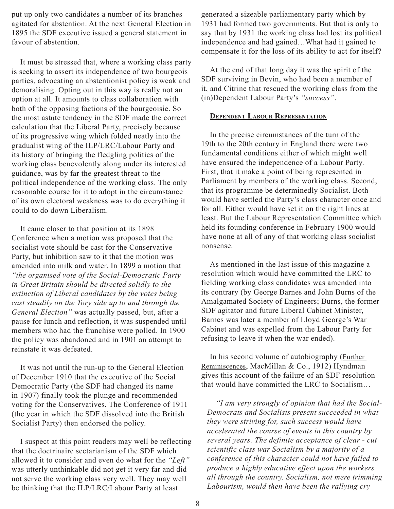put up only two candidates a number of its branches agitated for abstention. At the next General Election in 1895 the SDF executive issued a general statement in favour of abstention.

It must be stressed that, where a working class party is seeking to assert its independence of two bourgeois parties, advocating an abstentionist policy is weak and demoralising. Opting out in this way is really not an option at all. It amounts to class collaboration with both of the opposing factions of the bourgeoisie. So the most astute tendency in the SDF made the correct calculation that the Liberal Party, precisely because of its progressive wing which folded neatly into the gradualist wing of the ILP/LRC/Labour Party and its history of bringing the fledgling politics of the working class benevolently along under its interested guidance, was by far the greatest threat to the political independence of the working class. The only reasonable course for it to adopt in the circumstance of its own electoral weakness was to do everything it could to do down Liberalism.

It came closer to that position at its 1898 Conference when a motion was proposed that the socialist vote should be cast for the Conservative Party, but inhibition saw to it that the motion was amended into milk and water. In 1899 a motion that *"the organised vote of the Social-Democratic Party in Great Britain should be directed solidly to the extinction of Liberal candidates by the votes being cast steadily on the Tory side up to and through the General Election"* was actually passed, but, after a pause for lunch and reflection, it was suspended until members who had the franchise were polled. In 1900 the policy was abandoned and in 1901 an attempt to reinstate it was defeated.

It was not until the run-up to the General Election of December 1910 that the executive of the Social Democratic Party (the SDF had changed its name in 1907) finally took the plunge and recommended voting for the Conservatives. The Conference of 1911 (the year in which the SDF dissolved into the British Socialist Party) then endorsed the policy.

I suspect at this point readers may well be reflecting that the doctrinaire sectarianism of the SDF which allowed it to consider and even do what for the *"Left"* was utterly unthinkable did not get it very far and did not serve the working class very well. They may well be thinking that the ILP/LRC/Labour Party at least

generated a sizeable parliamentary party which by 1931 had formed two governments. But that is only to say that by 1931 the working class had lost its political independence and had gained…What had it gained to compensate it for the loss of its ability to act for itself?

At the end of that long day it was the spirit of the SDF surviving in Bevin, who had been a member of it, and Citrine that rescued the working class from the (in)Dependent Labour Party's *"success"*.

### **Dependent Labour Representation**

In the precise circumstances of the turn of the 19th to the 20th century in England there were two fundamental conditions either of which might well have ensured the independence of a Labour Party. First, that it make a point of being represented in Parliament by members of the working class. Second, that its programme be determinedly Socialist. Both would have settled the Party's class character once and for all. Either would have set it on the right lines at least. But the Labour Representation Committee which held its founding conference in February 1900 would have none at all of any of that working class socialist nonsense.

As mentioned in the last issue of this magazine a resolution which would have committed the LRC to fielding working class candidates was amended into its contrary (by George Barnes and John Burns of the Amalgamated Society of Engineers; Burns, the former SDF agitator and future Liberal Cabinet Minister, Barnes was later a member of Lloyd George's War Cabinet and was expelled from the Labour Party for refusing to leave it when the war ended).

In his second volume of autobiography (*Further*) Reminiscences, MacMillan & Co., 1912) Hyndman gives this account of the failure of an SDF resolution that would have committed the LRC to Socialism…

*"I am very strongly of opinion that had the Social-Democrats and Socialists present succeeded in what they were striving for, such success would have accelerated the course of events in this country by several years. The definite acceptance of clear - cut scientific class war Socialism by a majority of a conference of this character could not have failed to produce a highly educative effect upon the workers all through the country. Socialism, not mere trimming Labourism, would then have been the rallying cry*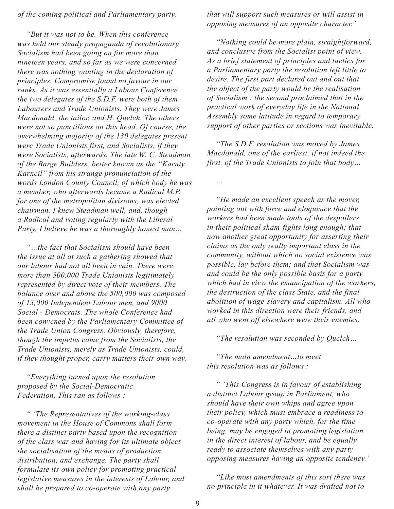*of the coming political and Parliamentary party.*

*"But it was not to be. When this conference was held our steady propaganda of revolutionary Socialism had been going on for more than nineteen years, and so far as we were concerned there was nothing wanting in the declaration of principles. Compromise found no favour in our ranks. As it was essentially a Labour Conference the two delegates of the S.D.F. were both of them Labourers and Trade Unionists. They were James Macdonald, the tailor, and H. Quelch. The others were not so punctilious on this head. Of course, the overwhelming majority of the 130 delegates present were Trade Unionists first, and Socialists, if they were Socialists, afterwards. The late W. C. Steadman of the Barge Builders, better known as the "Karnty Karncil" from his strange pronunciation of the words London County Council, of which body he was a member, who afterwards became a Radical M.P. for one of the metropolitan divisions, was elected chairman. I knew Steadman well, and, though a Radical and voting regularly with the Liberal Party, I believe he was a thoroughly honest man…*

*"…the fact that Socialism should have been the issue at all at such a gathering showed that our labour had not all been in vain. There were more than 500,000 Trade Unionists legitimately represented by direct vote of their members. The balance over and above the 500,000 was composed of 13,000 Independent Labour men, and 9000 Social - Democrats. The whole Conference had been convened by the Parliamentary Committee of the Trade Union Congress. Obviously, therefore, though the impetus came from the Socialists, the Trade Unionists, merely as Trade Unionists, could, if they thought proper, carry matters their own way.*

*"Everything turned upon the resolution proposed by the Social-Democratic Federation. This ran as follows :*

*" 'The Representatives of the working-class movement in the House of Commons shall form there a distinct party based upon the recognition of the class war and having for its ultimate object the socialisation of the means of production, distribution, and exchange. The party shall formulate its own policy for promoting practical legislative measures in the interests of Labour, and shall be prepared to co-operate with any party* 

*that will support such measures or will assist in opposing measures of an opposite character.'*

*"Nothing could be more plain, straightforward, and conclusive from the Socialist point of view. As a brief statement of principles and tactics for a Parliamentary party the resolution left little to desire. The first part declared out and out that the object of the party would be the realisation of Socialism : the second proclaimed that in the practical work of everyday life in the National Assembly some latitude in regard to temporary support of other parties or sections was inevitable.*

*"The S.D.F. resolution was moved by James Macdonald, one of the earliest, if not indeed the first, of the Trade Unionists to join that body…*

*…*

*"He made an excellent speech as the mover, pointing out with force and eloquence that the workers had been made tools of the despoilers in their political sham-fights long enough; that now another great opportunity for asserting their claims as the only really important class in the community, without which no social existence was possible, lay before them; and that Socialism was and could be the only possible basis for a party which had in view the emancipation of the workers, the destruction of the class State, and the final abolition of wage-slavery and capitalism. All who worked in this direction were their friends, and all who went off elsewhere were their enemies.*

*"The resolution was seconded by Quelch…*

*"The main amendment…to meet this resolution was as follows :*

*" 'This Congress is in favour of establishing a distinct Labour group in Parliament, who should have their own whips and agree upon their policy, which must embrace a readiness to co-operate with any party which, for the time being, may be engaged in promoting legislation in the direct interest of labour, and be equally ready to associate themselves with any party opposing measures having an opposite tendency.'*

*"Like most amendments of this sort there was no principle in it whatever. It was drafted not to*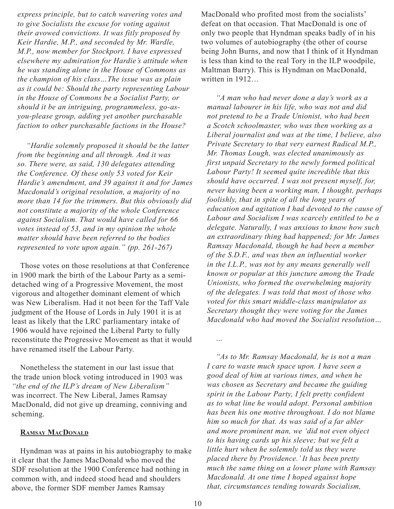*express principle, but to catch wavering votes and to give Socialists the excuse for voting against their avowed convictions. It was fitly proposed by Keir Hardie, M.P., and seconded by Mr. Wardle, M.P., now member for Stockport. I have expressed elsewhere my admiration for Hardie's attitude when he was standing alone in the House of Commons as the champion of his class…The issue was as plain as it could be: Should the party representing Labour in the House of Commons be a Socialist Party, or should it be an intriguing, programmeless, go-asyou-please group, adding yet another purchasable faction to other purchasable factions in the House?*

*"Hardie solemnly proposed it should be the latter from the beginning and all through. And it was so. There were, as said, 130 delegates attending the Conference. Of these only 53 voted for Keir Hardie's amendment, and 39 against it and for James Macdonald's original resolution, a majority of no more than 14 for the trimmers. But this obviously did not constitute a majority of the whole Conference against Socialism. That would have called for 66 votes instead of 53, and in my opinion the whole matter should have been referred to the bodies represented to vote upon again." (pp. 261-267)*

Those votes on those resolutions at that Conference in 1900 mark the birth of the Labour Party as a semidetached wing of a Progressive Movement, the most vigorous and altogether dominant element of which was New Liberalism. Had it not been for the Taff Vale judgment of the House of Lords in July 1901 it is at least as likely that the LRC parliamentary intake of 1906 would have rejoined the Liberal Party to fully reconstitute the Progressive Movement as that it would have renamed itself the Labour Party.

Nonetheless the statement in our last issue that the trade union block voting introduced in 1903 was *"the end of the ILP's dream of New Liberalism"* was incorrect. The New Liberal, James Ramsay MacDonald, did not give up dreaming, conniving and scheming.

## **Ramsay MacDonald**

Hyndman was at pains in his autobiography to make it clear that the James MacDonald who moved the SDF resolution at the 1900 Conference had nothing in common with, and indeed stood head and shoulders above, the former SDF member James Ramsay

MacDonald who profited most from the socialists' defeat on that occasion. That MacDonald is one of only two people that Hyndman speaks badly of in his two volumes of autobiography (the other of course being John Burns, and now that I think of it Hyndman is less than kind to the real Tory in the ILP woodpile, Maltman Barry). This is Hyndman on MacDonald, written in 1912...

*"A man who had never done a day's work as a manual labourer in his life, who was not and did not pretend to be a Trade Unionist, who had been a Scotch schoolmaster, who was then working as a Liberal journalist and was at the time, I believe, also Private Secretary to that very earnest Radical M.P., Mr. Thomas Lough, was elected unanimously as first unpaid Secretary to the newly formed political Labour Party! It seemed quite incredible that this should have occurred. I was not present myself, for, never having been a working man, I thought, perhaps foolishly, that in spite of all the long years of education and agitation I had devoted to the cause of Labour and Socialism I was scarcely entitled to be a delegate. Naturally, I was anxious to know how such an extraordinary thing had happened; for Mr. James Ramsay Macdonald, though he had been a member of the S.D.F., and was then an influential worker in the I.L.P., was not by any means generally well known or popular at this juncture among the Trade Unionists, who formed the overwhelming majority of the delegates. I was told that most of those who voted for this smart middle-class manipulator as Secretary thought they were voting for the James Macdonald who had moved the Socialist resolution…*

*"As to Mr. Ramsay Macdonald, he is not a man I care to waste much space upon. I have seen a good deal of him at various times, and when he was chosen as Secretary and became the guiding spirit in the Labour Party, I felt pretty confident as to what line he would adopt. Personal ambition has been his one motive throughout. I do not blame him so much for that. As was said of a far abler and more prominent man, we 'did not even object to his having cards up his sleeve; but we felt a little hurt when he solemnly told us they were placed there by Providence.' It has been pretty much the same thing on a lower plane with Ramsay Macdonald. At one time I hoped against hope that, circumstances tending towards Socialism,* 

*…*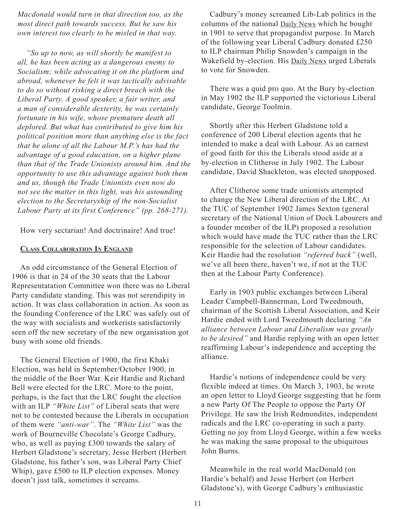*Macdonald would turn in that direction too, as the most direct path towards success. But he saw his own interest too clearly to be misled in that way.*

*"So up to now, as will shortly be manifest to all, he has been acting as a dangerous enemy to Socialism; while advocating it on the platform and abroad, whenever he felt it was tactically advisable to do so without risking a direct breach with the Liberal Party. A good speaker, a fair writer, and a man of considerable dexterity, he was certainly fortunate in his wife, whose premature death all deplored. But what has contributed to give him his political position more than anything else is the fact that he alone of all the Labour M.P.'s has had the advantage of a good education, on a higher plane than that of the Trade Unionists around him. And the opportunity to use this advantage against both them and us, though the Trade Unionists even now do not see the matter in this light, was his astounding election to the Secretaryship of the non-Socialist Labour Party at its first Conference" (pp. 268-271).*

How very sectarian! And doctrinaire! And true!

## **Class Collaboration In England**

An odd circumstance of the General Election of 1906 is that in 24 of the 30 seats that the Labour Representatation Committee won there was no Liberal Party candidate standing. This was not serendipity in action. It was class collaboration in action. As soon as the founding Conference of the LRC was safely out of the way with socialists and workerists satisfactorily seen off the new secretary of the new organisation got busy with some old friends.

The General Election of 1900, the first Khaki Election, was held in September/October 1900, in the middle of the Boer War. Keir Hardie and Richard Bell were elected for the LRC. More to the point, perhaps, is the fact that the LRC fought the election with an ILP *"White List"* of Liberal seats that were not to be contested because the Liberals in occupation of them were *"anti-war"*. The *"White List"* was the work of Bourneville Chocolate's George Cadbury, who, as well as paying £300 towards the salary of Herbert Gladstone's secretary, Jesse Herbert (Herbert Gladstone, his father's son, was Liberal Party Chief Whip), gave £500 to ILP election expenses. Money doesn't just talk, sometimes it screams.

Cadbury's money screamed Lib-Lab politics in the columns of the national Daily News which he bought in 1901 to serve that propagandist purpose. In March of the following year Liberal Cadbury donated £250 to ILP chairman Philip Snowden's campaign in the Wakefield by-election. His Daily News urged Liberals to vote for Snowden.

There was a quid pro quo. At the Bury by-election in May 1902 the ILP supported the victorious Liberal candidate, George Toolmin.

Shortly after this Herbert Gladstone told a conference of 200 Liberal election agents that he intended to make a deal with Labour. As an earnest of good faith for this the Liberals stood aside at a by-election in Clitheroe in July 1902. The Labour candidate, David Shackleton, was elected unopposed.

After Clitheroe some trade unionists attempted to change the New Liberal direction of the LRC. At the TUC of September 1902 James Sexton (general secretary of the National Union of Dock Labourers and a founder member of the ILP) proposed a resolution which would have made the TUC rather than the LRC responsible for the selection of Labour candidates. Keir Hardie had the resolution *"referred back"* (well, we've all been there, haven't we, if not at the TUC then at the Labour Party Conference).

Early in 1903 public exchanges between Liberal Leader Campbell-Bannerman, Lord Tweedmouth, chairman of the Scottish Liberal Association, and Keir Hardie ended with Lord Tweedmouth declaring *"An alliance between Labour and Liberalism was greatly to be desired"* and Hardie replying with an open letter reaffirming Labour's independence and accepting the alliance.

Hardie's notions of independence could be very flexible indeed at times. On March 3, 1903, he wrote an open letter to Lloyd George suggesting that he form a new Party Of The People to oppose the Party Of Privilege. He saw the Irish Redmondites, independent radicals and the LRC co-operating in such a party. Getting no joy from Lloyd George, within a few weeks he was making the same proposal to the ubiquitous John Burns.

Meanwhile in the real world MacDonald (on Hardie's behalf) and Jesse Herbert (on Herbert Gladstone's), with George Cadbury's enthusiastic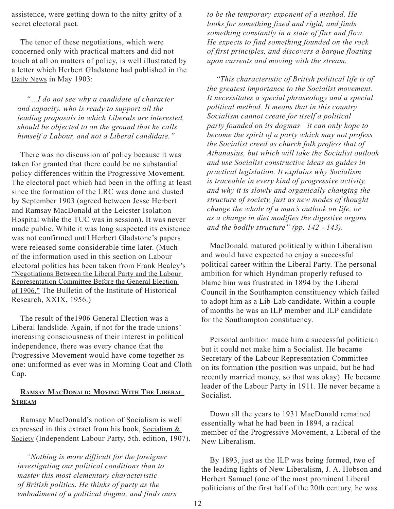assistence, were getting down to the nitty gritty of a secret electoral pact.

The tenor of these negotiations, which were concerned only with practical matters and did not touch at all on matters of policy, is well illustrated by a letter which Herbert Gladstone had published in the Daily News in May 1903:

*"…I do not see why a candidate of character and capacity. who is ready to support all the leading proposals in which Liberals are interested, should be objected to on the ground that he calls himself a Labour, and not a Liberal candidate."*

There was no discussion of policy because it was taken for granted that there could be no substantial policy differences within the Progressive Movement. The electoral pact which had been in the offing at least since the formation of the LRC was done and dusted by September 1903 (agreed between Jesse Herbert and Ramsay MacDonald at the Leicster Isolation Hospital while the TUC was in session). It was never made public. While it was long suspected its existence was not confirmed until Herbert Gladstone's papers were released some considerable time later. (Much of the information used in this section on Labour electoral politics has been taken from Frank Bealey's "Negotiations Between the Liberal Party and the Labour Representation Committee Before the General Election of 1906," The Bulletin of the Institute of Historical Research, XXIX, 1956.)

The result of the1906 General Election was a Liberal landslide. Again, if not for the trade unions' increasing consciousness of their interest in political independence, there was every chance that the Progressive Movement would have come together as one: uniformed as ever was in Morning Coat and Cloth Cap.

# **Ramsay MacDonald: Moving With The Liberal Stream**

Ramsay MacDonald's notion of Socialism is well expressed in this extract from his book, Socialism & Society (Independent Labour Party, 5th. edition, 1907).

*"Nothing is more difficult for the foreigner investigating our political conditions than to master this most elementary characteristic of British politics. He thinks of party as the embodiment of a political dogma, and finds ours*  *to be the temporary exponent of a method. He looks for something fixed and rigid, and finds something constantly in a state of flux and flow. He expects to find something founded on the rock of first principles, and discovers a barque floating upon currents and moving with the stream.*

*"This characteristic of British political life is of the greatest importance to the Socialist movement. It necessitates a special phraseology and a special political method. It means that in this country Socialism cannot create for itself a political party founded on its dogmas—it can only hope to become the spirit of a party which may not profess the Socialist creed as church folk profess that of Athanasius, but which will take the Socialist outlook and use Socialist constructive ideas as guides in practical legislation. It explains why Socialism is traceable in every kind of progressive activity, and why it is slowly and organically changing the structure of society, just as new modes of thought change the whole of a man's outlook on life, or as a change in diet modifies the digestive organs and the bodily structure" (pp. 142 - 143).*

MacDonald matured politically within Liberalism and would have expected to enjoy a successful political career within the Liberal Party. The personal ambition for which Hyndman properly refused to blame him was frustrated in 1894 by the Liberal Council in the Southampton constituency which failed to adopt him as a Lib-Lab candidate. Within a couple of months he was an ILP member and ILP candidate for the Southampton constituency.

Personal ambition made him a successful politician but it could not make him a Socialist. He became Secretary of the Labour Representation Committee on its formation (the position was unpaid, but he had recently married money, so that was okay). He became leader of the Labour Party in 1911. He never became a Socialist.

Down all the years to 1931 MacDonald remained essentially what he had been in 1894, a radical member of the Progressive Movement, a Liberal of the New Liberalism.

By 1893, just as the ILP was being formed, two of the leading lights of New Liberalism, J. A. Hobson and Herbert Samuel (one of the most prominent Liberal politicians of the first half of the 20th century, he was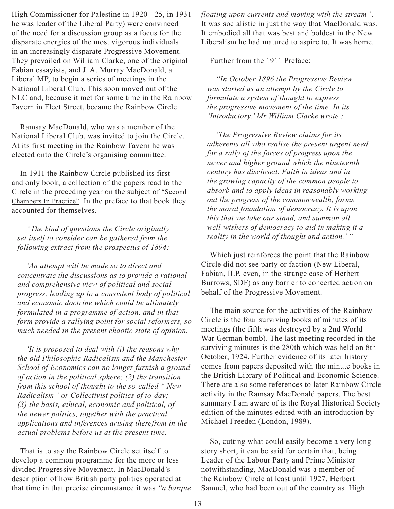High Commissioner for Palestine in 1920 - 25, in 1931 he was leader of the Liberal Party) were convinced of the need for a discussion group as a focus for the disparate energies of the most vigorous individuals in an increasingly disparate Progressive Movement. They prevailed on William Clarke, one of the original Fabian essayists, and J. A. Murray MacDonald, a Liberal MP, to begin a series of meetings in the National Liberal Club. This soon moved out of the NLC and, because it met for some time in the Rainbow Tavern in Fleet Street, became the Rainbow Circle.

Ramsay MacDonald, who was a member of the National Liberal Club, was invited to join the Circle. At its first meeting in the Rainbow Tavern he was elected onto the Circle's organising committee.

In 1911 the Rainbow Circle published its first and only book, a collection of the papers read to the Circle in the preceding year on the subject of "Second Chambers In Practice". In the preface to that book they accounted for themselves.

*"The kind of questions the Circle originally set itself to consider can be gathered from the following extract from the prospectus of 1894:—*

*'An attempt will be made so to direct and concentrate the discussions as to provide a rational and comprehensive view of political and social progress, leading up to a consistent body of political and economic doctrine which could be ultimately formulated in a programme of action, and in that form provide a rallying point for social reformers, so much needed in the present chaotic state of opinion.*

*'It is proposed to deal with (i) the reasons why the old Philosophic Radicalism and the Manchester School of Economics can no longer furnish a ground of action in the political sphere; (2) the transition from this school of thought to the so-called \* New Radicalism ' or Collectivist politics of to-day; (3) the basis, ethical, economic and political, of the newer politics, together with the practical applications and inferences arising therefrom in the actual problems before us at the present time."*

That is to say the Rainbow Circle set itself to develop a common programme for the more or less divided Progressive Movement. In MacDonald's description of how British party politics operated at that time in that precise circumstance it was *"a barque*  *floating upon currents and moving with the stream"*. It was socialistic in just the way that MacDonald was. It embodied all that was best and boldest in the New Liberalism he had matured to aspire to. It was home.

Further from the 1911 Preface:

*"In October 1896 the Progressive Review was started as an attempt by the Circle to formulate a system of thought to express the progressive movement of the time. In its 'Introductory,' Mr William Clarke wrote :*

*'The Progressive Review claims for its adherents all who realise the present urgent need for a rally of the forces of progress upon the newer and higher ground which the nineteenth century has disclosed. Faith in ideas and in the growing capacity of the common people to absorb and to apply ideas in reasonably working out the progress of the commonwealth, forms the moral foundation of democracy. It is upon this that we take our stand, and summon all well-wishers of democracy to aid in making it a reality in the world of thought and action.' "*

Which just reinforces the point that the Rainbow Circle did not see party or faction (New Liberal, Fabian, ILP, even, in the strange case of Herbert Burrows, SDF) as any barrier to concerted action on behalf of the Progressive Movement.

The main source for the activities of the Rainbow Circle is the four surviving books of minutes of its meetings (the fifth was destroyed by a 2nd World War German bomb). The last meeting recorded in the surviving minutes is the 280th which was held on 8th October, 1924. Further evidence of its later history comes from papers deposited with the minute books in the British Library of Political and Economic Science. There are also some references to later Rainbow Circle activity in the Ramsay MacDonald papers. The best summary I am aware of is the Royal Historical Society edition of the minutes edited with an introduction by Michael Freeden (London, 1989).

So, cutting what could easily become a very long story short, it can be said for certain that, being Leader of the Labour Party and Prime Minister notwithstanding, MacDonald was a member of the Rainbow Circle at least until 1927. Herbert Samuel, who had been out of the country as High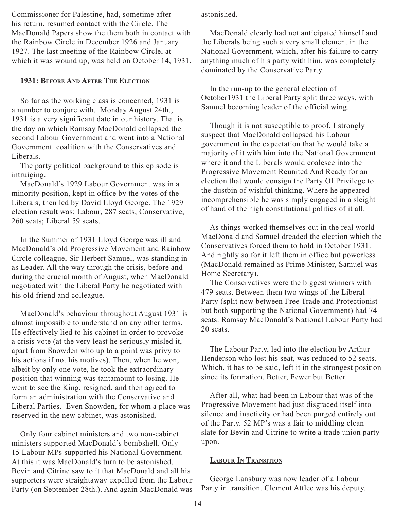Commissioner for Palestine, had, sometime after his return, resumed contact with the Circle. The MacDonald Papers show the them both in contact with the Rainbow Circle in December 1926 and January 1927. The last meeting of the Rainbow Circle, at which it was wound up, was held on October 14, 1931.

## **1931: Before And After The Election**

So far as the working class is concerned, 1931 is a number to conjure with. Monday August 24th., 1931 is a very significant date in our history. That is the day on which Ramsay MacDonald collapsed the second Labour Government and went into a National Government coalition with the Conservatives and Liberals.

The party political background to this episode is intruiging.

MacDonald's 1929 Labour Government was in a minority position, kept in office by the votes of the Liberals, then led by David Lloyd George. The 1929 election result was: Labour, 287 seats; Conservative, 260 seats; Liberal 59 seats.

In the Summer of 1931 Lloyd George was ill and MacDonald's old Progressive Movement and Rainbow Circle colleague, Sir Herbert Samuel, was standing in as Leader. All the way through the crisis, before and during the crucial month of August, when MacDonald negotiated with the Liberal Party he negotiated with his old friend and colleague.

MacDonald's behaviour throughout August 1931 is almost impossible to understand on any other terms. He effectively lied to his cabinet in order to provoke a crisis vote (at the very least he seriously misled it, apart from Snowden who up to a point was privy to his actions if not his motives). Then, when he won, albeit by only one vote, he took the extraordinary position that winning was tantamount to losing. He went to see the King, resigned, and then agreed to form an administration with the Conservative and Liberal Parties. Even Snowden, for whom a place was reserved in the new cabinet, was astonished.

Only four cabinet ministers and two non-cabinet ministers supported MacDonald's bombshell. Only 15 Labour MPs supported his National Government. At this it was MacDonald's turn to be astonished. Bevin and Citrine saw to it that MacDonald and all his supporters were straightaway expelled from the Labour Party (on September 28th.). And again MacDonald was astonished.

MacDonald clearly had not anticipated himself and the Liberals being such a very small element in the National Government, which, after his failure to carry anything much of his party with him, was completely dominated by the Conservative Party.

In the run-up to the general election of October1931 the Liberal Party split three ways, with Samuel becoming leader of the official wing.

Though it is not susceptible to proof, I strongly suspect that MacDonald collapsed his Labour government in the expectation that he would take a majority of it with him into the National Government where it and the Liberals would coalesce into the Progressive Movement Reunited And Ready for an election that would consign the Party Of Privilege to the dustbin of wishful thinking. Where he appeared incomprehensible he was simply engaged in a sleight of hand of the high constitutional politics of it all.

As things worked themselves out in the real world MacDonald and Samuel dreaded the election which the Conservatives forced them to hold in October 1931. And rightly so for it left them in office but powerless (MacDonald remained as Prime Minister, Samuel was Home Secretary).

The Conservatives were the biggest winners with 479 seats. Between them two wings of the Liberal Party (split now between Free Trade and Protectionist but both supporting the National Government) had 74 seats. Ramsay MacDonald's National Labour Party had 20 seats.

The Labour Party, led into the election by Arthur Henderson who lost his seat, was reduced to 52 seats. Which, it has to be said, left it in the strongest position since its formation. Better, Fewer but Better.

After all, what had been in Labour that was of the Progressive Movement had just disgraced itself into silence and inactivity or had been purged entirely out of the Party. 52 MP's was a fair to middling clean slate for Bevin and Citrine to write a trade union party upon.

#### **Labour In Transition**

George Lansbury was now leader of a Labour Party in transition. Clement Attlee was his deputy.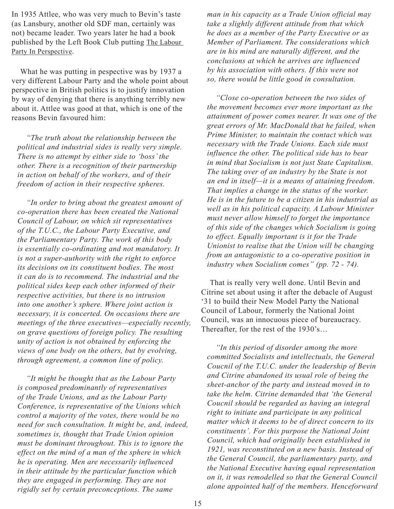In 1935 Attlee, who was very much to Bevin's taste (as Lansbury, another old SDF man, certainly was not) became leader. Two years later he had a book published by the Left Book Club putting The Labour Party In Perspective.

What he was putting in pespective was by 1937 a very different Labour Party and the whole point about perspective in British politics is to justify innovation by way of denying that there is anything terribly new about it. Attlee was good at that, which is one of the reasons Bevin favoured him:

*"The truth about the relationship between the political and industrial sides is really very simple. There is no attempt by either side to 'boss' the other. There is a recognition of their partnership in action on behalf of the workers, and of their freedom of action in their respective spheres.*

*"In order to bring about the greatest amount of co-operation there has been created the National Council of Labour, on which sit representatives of the T.U.C., the Labour Party Executive, and the Parliamentary Party. The work of this body is essentially co-ordinating and not mandatory. It is not a super-authority with the right to enforce its decisions on its constituent bodies. The most it can do is to recommend. The industrial and the political sides keep each other informed of their respective activities, but there is no intrusion into one another's sphere. Where joint action is necessary, it is concerted. On occasions there are meetings of the three executives—especially recently, on grave questions of foreign policy. The resulting unity of action is not obtained by enforcing the views of one body on the others, but by evolving, through agreement, a common line of policy.*

*"It might be thought that as the Labour Party is composed predominantly of representatives of the Trade Unions, and as the Labour Party Conference, is representative of the Unions which control a majority of the votes, there would be no need for such consultation. It might be, and, indeed, sometimes is, thought that Trade Union opinion must be dominant throughout. This is to ignore the effect on the mind of a man of the sphere in which he is operating. Men are necessarily influenced in their attitude by the particular function which they are engaged in performing. They are not rigidly set by certain preconceptions. The same* 

*man in his capacity as a Trade Union official may take a slightly different attitude from that which he does as a member of the Party Executive or as Member of Parliament. The considerations which are in his mind are naturally different, and the conclusions at which he arrives are influenced by his association with others. If this were not so, there would be little good in consultation.*

*"Close co-operation between the two sides of the movement becomes ever more important as the attainment of power comes nearer. It was one of the great errors of Mr. MacDonald that he failed, when Prime Minister, to maintain the contact which was necessary with the Trade Unions. Each side must influence the other. The political side has to bear in mind that Socialism is not just State Capitalism. The taking over of an industry by the State is not an end in itself—it is a means of attaining freedom. That implies a change in the status of the worker. He is in the future to be a citizen in his industrial as well as in his political capacity. A Labour Minister must never allow himself to forget the importance of this side of the changes which Socialism is going to effect. Equally important is it for the Trade Unionist to realise that the Union will be changing from an antagonistic to a co-operative position in industry when Socialism comes" (pp. 72 - 74).*

That is really very well done. Until Bevin and Citrine set about using it after the debacle of August '31 to build their New Model Party the National Council of Labour, formerly the National Joint Council, was an innocuous piece of bureaucracy. Thereafter, for the rest of the 1930's…

*"In this period of disorder among the more committed Socialists and intellectuals, the General Coucnil of the T.U.C. under the leadership of Bevin and Citrine abandoned its usual role of being the sheet-anchor of the party and instead moved in to take the helm. Citrine demanded that 'the General Coucnil should be regarded as having an integral right to initiate and participate in any political matter which it deems to be of direct concern to its constituents'. For this purpose the National Joint Council, which had originally been established in 1921, was reconstituted on a new basis. Instead of the General Council, the parliamentary party, and the National Executive having equal representation on it, it was remodelled so that the General Council alone appointed half of the members. Henceforward*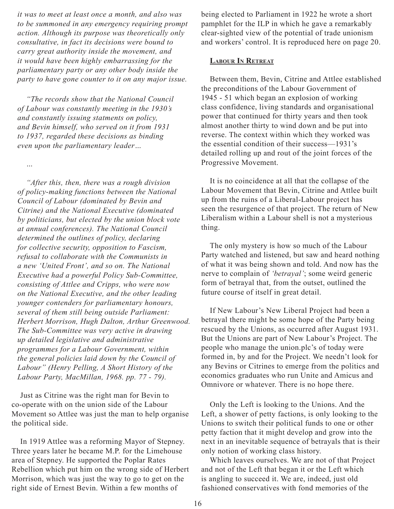*it was to meet at least once a month, and also was to be summoned in any emergency requiring prompt action. Although its purpose was theoretically only consultative, in fact its decisions were bound to carry great authority inside the movement, and it would have been highly embarrassing for the parliamentary party or any other body inside the party to have gone counter to it on any major issue.*

*"The records show that the National Council of Labour was constantly meeting in the 1930's and constantly issuing statments on policy, and Bevin himself, who served on it from 1931 to 1937, regarded these decisions as binding even upon the parliamentary leader…*

*…*

*"After this, then, there was a rough division of policy-making functions between the National Council of Labour (dominated by Bevin and Citrine) and the National Executive (dominated by politicians, but elected by the union block vote at annual conferences). The National Council determined the outlines of policy, declaring for collective security, opposition to Fascism, refusal to collaborate with the Communists in a new 'United Front', and so on. The National Executive had a powerful Policy Sub-Committee, consisting of Attlee and Cripps, who were now on the National Executive, and the other leading younger contenders for parliamentary honours, several of them still being outside Parliament: Herbert Morrison, Hugh Dalton, Arthur Greenwood. The Sub-Committee was very active in drawing up detailed legislative and administrative programmes for a Labour Government, within the general policies laid down by the Council of Labour" (Henry Pelling, A Short History of the Labour Party, MacMillan, 1968. pp. 77 - 79).*

Just as Citrine was the right man for Bevin to co-operate with on the union side of the Labour Movement so Attlee was just the man to help organise the political side.

In 1919 Attlee was a reforming Mayor of Stepney. Three years later he became M.P. for the Limehouse area of Stepney. He supported the Poplar Rates Rebellion which put him on the wrong side of Herbert Morrison, which was just the way to go to get on the right side of Ernest Bevin. Within a few months of

being elected to Parliament in 1922 he wrote a short pamphlet for the ILP in which he gave a remarkably clear-sighted view of the potential of trade unionism and workers' control. It is reproduced here on page 20.

### **Labour In Retreat**

Between them, Bevin, Citrine and Attlee established the preconditions of the Labour Government of 1945 - 51 which began an explosion of working class confidence, living standards and organisational power that continued for thirty years and then took almost another thirty to wind down and be put into reverse. The context within which they worked was the essential condition of their success—1931's detailed rolling up and rout of the joint forces of the Progressive Movement.

It is no coincidence at all that the collapse of the Labour Movement that Bevin, Citrine and Attlee built up from the ruins of a Liberal-Labour project has seen the resurgence of that project. The return of New Liberalism within a Labour shell is not a mysterious thing.

The only mystery is how so much of the Labour Party watched and listened, but saw and heard nothing of what it was being shown and told. And now has the nerve to complain of *'betrayal'*; some weird generic form of betrayal that, from the outset, outlined the future course of itself in great detail.

If New Labour's New Liberal Project had been a betrayal there might be some hope of the Party being rescued by the Unions, as occurred after August 1931. But the Unions are part of New Labour's Project. The people who manage the union.plc's of today were formed in, by and for the Project. We needn't look for any Bevins or Citrines to emerge from the politics and economics graduates who run Unite and Amicus and Omnivore or whatever. There is no hope there.

Only the Left is looking to the Unions. And the Left, a shower of petty factions, is only looking to the Unions to switch their political funds to one or other petty faction that it might develop and grow into the next in an inevitable sequence of betrayals that is their only notion of working class history.

Which leaves ourselves. We are not of that Project and not of the Left that began it or the Left which is angling to succeed it. We are, indeed, just old fashioned conservatives with fond memories of the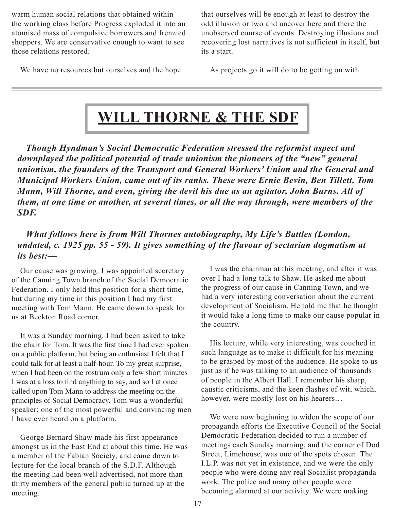<span id="page-16-0"></span>warm human social relations that obtained within the working class before Progress exploded it into an atomised mass of compulsive borrowers and frenzied shoppers. We are conservative enough to want to see those relations restored.

that ourselves will be enough at least to destroy the odd illusion or two and uncover here and there the unobserved course of events. Destroying illusions and recovering lost narratives is not sufficient in itself, but its a start.

We have no resources but ourselves and the hope

As projects go it will do to be getting on with.

# **Will Thorne & The SDF**

*Though Hyndman's Social Democratic Federation stressed the reformist aspect and downplayed the political potential of trade unionism the pioneers of the "new" general unionism, the founders of the Transport and General Workers' Union and the General and Municipal Workers Union, came out of its ranks. These were Ernie Bevin, Ben Tillett, Tom Mann, Will Thorne, and even, giving the devil his due as an agitator, John Burns. All of them, at one time or another, at several times, or all the way through, were members of the SDF.*

# *What follows here is from Will Thornes autobiography, My Life's Battles (London, undated, c. 1925 pp. 55 - 59). It gives something of the flavour of sectarian dogmatism at its best:—*

Our cause was growing. I was appointed secretary of the Canning Town branch of the Social Democratic Federation. I only held this position for a short time, but during my time in this position I had my first meeting with Tom Mann. He came down to speak for us at Beckton Road corner.

It was a Sunday morning. I had been asked to take the chair for Tom. It was the first time I had ever spoken on a public platform, but being an enthusiast I felt that I could talk for at least a half-hour. To my great surprise, when I had been on the rostrum only a few short minutes I was at a loss to find anything to say, and so I at once called upon Tom Mann to address the meeting on the principles of Social Democracy. Tom was a wonderful speaker; one of the most powerful and convincing men I have ever heard on a platform.

George Bernard Shaw made his first appearance amongst us in the East End at about this time. He was a member of the Fabian Society, and came down to lecture for the local branch of the S.D.F. Although the meeting had been well advertised, not more than thirty members of the general public turned up at the meeting.

I was the chairman at this meeting, and after it was over I had a long talk to Shaw. He asked me about the progress of our cause in Canning Town, and we had a very interesting conversation about the current development of Socialism. He told me that he thought it would take a long time to make our cause popular in the country.

His lecture, while very interesting, was couched in such language as to make it difficult for his meaning to be grasped by most of the audience. He spoke to us just as if he was talking to an audience of thousands of people in the Albert Hall. I remember his sharp, caustic criticisms, and the keen flashes of wit, which, however, were mostly lost on his hearers…

We were now beginning to widen the scope of our propaganda efforts the Executive Council of the Social Democratic Federation decided to run a number of meetings each Sunday morning, and the corner of Dod Street, Limehouse, was one of the spots chosen. The I.L.P. was not yet in existence, and we were the only people who were doing any real Socialist propaganda work. The police and many other people were becoming alarmed at our activity. We were making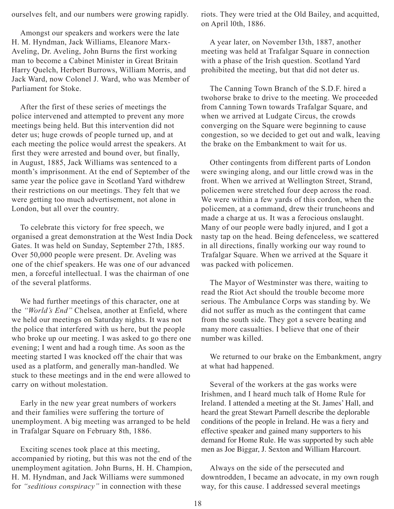ourselves felt, and our numbers were growing rapidly.

Amongst our speakers and workers were the late H. M. Hyndman, Jack Williams, Eleanore Marx-Aveling, Dr. Aveling, John Burns the first working man to become a Cabinet Minister in Great Britain Harry Quelch, Herbert Burrows, William Morris, and Jack Ward, now Colonel J. Ward, who was Member of Parliament for Stoke.

After the first of these series of meetings the police intervened and attempted to prevent any more meetings being held. But this intervention did not deter us; huge crowds of people turned up, and at each meeting the police would arrest the speakers. At first they were arrested and bound over, but finally, in August, 1885, Jack Williams was sentenced to a month's imprisonment. At the end of September of the same year the police gave in Scotland Yard withdrew their restrictions on our meetings. They felt that we were getting too much advertisement, not alone in London, but all over the country.

To celebrate this victory for free speech, we organised a great demonstration at the West India Dock Gates. It was held on Sunday, September 27th, 1885. Over 50,000 people were present. Dr. Aveling was one of the chief speakers. He was one of our advanced men, a forceful intellectual. I was the chairman of one of the several platforms.

We had further meetings of this character, one at the *"World's End"* Chelsea, another at Enfield, where we held our meetings on Saturday nights. It was not the police that interfered with us here, but the people who broke up our meeting. I was asked to go there one evening; I went and had a rough time. As soon as the meeting started I was knocked off the chair that was used as a platform, and generally man-handled. We stuck to these meetings and in the end were allowed to carry on without molestation.

Early in the new year great numbers of workers and their families were suffering the torture of unemployment. A big meeting was arranged to be held in Trafalgar Square on February 8th, 1886.

Exciting scenes took place at this meeting, accompanied by rioting, but this was not the end of the unemployment agitation. John Burns, H. H. Champion, H. M. Hyndman, and Jack Williams were summoned for *"seditious conspiracy"* in connection with these

riots. They were tried at the Old Bailey, and acquitted, on April l0th, 1886.

A year later, on November I3th, 1887, another meeting was held at Trafalgar Square in connection with a phase of the Irish question. Scotland Yard prohibited the meeting, but that did not deter us.

The Canning Town Branch of the S.D.F. hired a twohorse brake to drive to the meeting. We proceeded from Canning Town towards Trafalgar Square, and when we arrived at Ludgate Circus, the crowds converging on the Square were beginning to cause congestion, so we decided to get out and walk, leaving the brake on the Embankment to wait for us.

Other contingents from different parts of London were swinging along, and our little crowd was in the front. When we arrived at Wellington Street, Strand, policemen were stretched four deep across the road. We were within a few yards of this cordon, when the policemen, at a command, drew their truncheons and made a charge at us. It was a ferocious onslaught. Many of our people were badly injured, and I got a nasty tap on the head. Being defenceless, we scattered in all directions, finally working our way round to Trafalgar Square. When we arrived at the Square it was packed with policemen.

The Mayor of Westminster was there, waiting to read the Riot Act should the trouble become more serious. The Ambulance Corps was standing by. We did not suffer as much as the contingent that came from the south side. They got a severe beating and many more casualties. I believe that one of their number was killed.

We returned to our brake on the Embankment, angry at what had happened.

Several of the workers at the gas works were Irishmen, and I heard much talk of Home Rule for Ireland. I attended a meeting at the St. James' Hall, and heard the great Stewart Parnell describe the deplorable conditions of the people in Ireland. He was a fiery and effective speaker and gained many supporters to his demand for Home Rule. He was supported by such able men as Joe Biggar, J. Sexton and William Harcourt.

Always on the side of the persecuted and downtrodden, I became an advocate, in my own rough way, for this cause. I addressed several meetings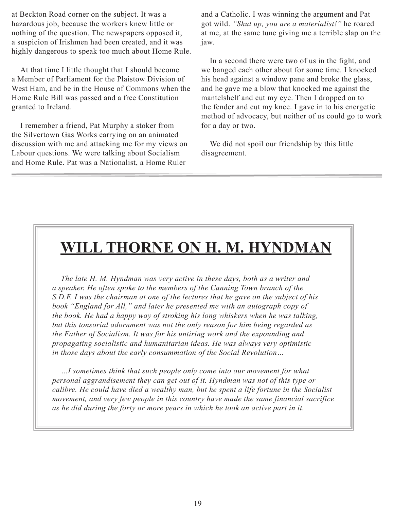<span id="page-18-0"></span>at Beckton Road corner on the subject. It was a hazardous job, because the workers knew little or nothing of the question. The newspapers opposed it, a suspicion of Irishmen had been created, and it was highly dangerous to speak too much about Home Rule.

At that time I little thought that I should become a Member of Parliament for the Plaistow Division of West Ham, and be in the House of Commons when the Home Rule Bill was passed and a free Constitution granted to Ireland.

I remember a friend, Pat Murphy a stoker from the Silvertown Gas Works carrying on an animated discussion with me and attacking me for my views on Labour questions. We were talking about Socialism and Home Rule. Pat was a Nationalist, a Home Ruler

and a Catholic. I was winning the argument and Pat got wild. *"Shut up, you are a materialist!"* he roared at me, at the same tune giving me a terrible slap on the jaw.

In a second there were two of us in the fight, and we banged each other about for some time. I knocked his head against a window pane and broke the glass, and he gave me a blow that knocked me against the mantelshelf and cut my eye. Then I dropped on to the fender and cut my knee. I gave in to his energetic method of advocacy, but neither of us could go to work for a day or two.

We did not spoil our friendship by this little disagreement.

# **Will Thorne on H. M. Hyndman**

*The late H. M. Hyndman was very active in these days, both as a writer and a speaker. He often spoke to the members of the Canning Town branch of the S.D.F. I was the chairman at one of the lectures that he gave on the subject of his book "England for All," and later he presented me with an autograph copy of the book. He had a happy way of stroking his long whiskers when he was talking, but this tonsorial adornment was not the only reason for him being regarded as the Father of Socialism. It was for his untiring work and the expounding and propagating socialistic and humanitarian ideas. He was always very optimistic in those days about the early consummation of the Social Revolution…*

*…I sometimes think that such people only come into our movement for what personal aggrandisement they can get out of it. Hyndman was not of this type or calibre. He could have died a wealthy man, but he spent a life fortune in the Socialist movement, and very few people in this country have made the same financial sacrifice as he did during the forty or more years in which he took an active part in it.*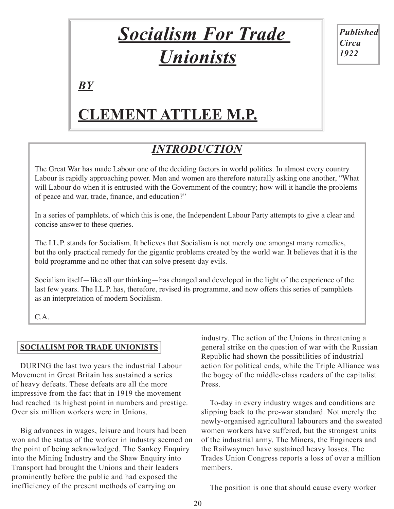# *Socialism For Trade Unionists*

*Published Circa 1922*

<span id="page-19-0"></span>*by*

# **Clement Attlee M.P.**

# *INTRODUCTION*

The Great War has made Labour one of the deciding factors in world politics. In almost every country Labour is rapidly approaching power. Men and women are therefore naturally asking one another, "What will Labour do when it is entrusted with the Government of the country; how will it handle the problems of peace and war, trade, finance, and education?"

In a series of pamphlets, of which this is one, the Independent Labour Party attempts to give a clear and concise answer to these queries.

The I.L.P. stands for Socialism. It believes that Socialism is not merely one amongst many remedies, but the only practical remedy for the gigantic problems created by the world war. It believes that it is the bold programme and no other that can solve present-day evils.

Socialism itself—like all our thinking—has changed and developed in the light of the experience of the last few years. The I.L.P. has, therefore, revised its programme, and now offers this series of pamphlets as an interpretation of modern Socialism.

C.A.

# **SOCIALISM FOR TRADE UNIONISTS**

DURING the last two years the industrial Labour Movement in Great Britain has sustained a series of heavy defeats. These defeats are all the more impressive from the fact that in 1919 the movement had reached its highest point in numbers and prestige. Over six million workers were in Unions.

Big advances in wages, leisure and hours had been won and the status of the worker in industry seemed on the point of being acknowledged. The Sankey Enquiry into the Mining Industry and the Shaw Enquiry into Transport had brought the Unions and their leaders prominently before the public and had exposed the inefficiency of the present methods of carrying on

industry. The action of the Unions in threatening a general strike on the question of war with the Russian Republic had shown the possibilities of industrial action for political ends, while the Triple Alliance was the bogey of the middle-class readers of the capitalist Press.

To-day in every industry wages and conditions are slipping back to the pre-war standard. Not merely the newly-organised agricultural labourers and the sweated women workers have suffered, but the strongest units of the industrial army. The Miners, the Engineers and the Railwaymen have sustained heavy losses. The Trades Union Congress reports a loss of over a million members.

The position is one that should cause every worker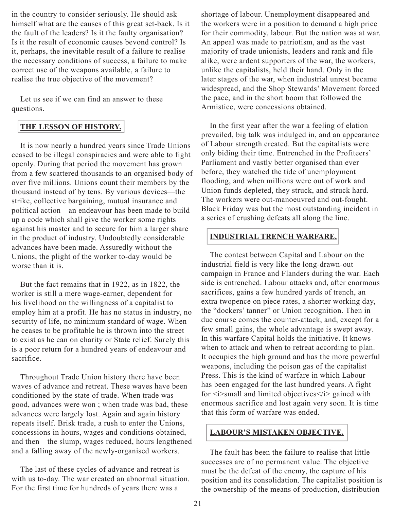in the country to consider seriously. He should ask himself what are the causes of this great set-back. Is it the fault of the leaders? Is it the faulty organisation? Is it the result of economic causes bevond control? Is it, perhaps, the inevitable result of a failure to realise the necessary conditions of success, a failure to make correct use of the weapons available, a failure to realise the true objective of the movement?

Let us see if we can find an answer to these questions.

# **THE LESSON OF HISTORY.**

It is now nearly a hundred years since Trade Unions ceased to be illegal conspiracies and were able to fight openly. During that period the movement has grown from a few scattered thousands to an organised body of over five millions. Unions count their members by the thousand instead of by tens. By various devices—the strike, collective bargaining, mutual insurance and political action—an endeavour has been made to build up a code which shall give the worker some rights against his master and to secure for him a larger share in the product of industry. Undoubtedly considerable advances have been made. Assuredly without the Unions, the plight of the worker to-day would be worse than it is.

But the fact remains that in 1922, as in 1822, the worker is still a mere wage-earner, dependent for his livelihood on the willingness of a capitalist to employ him at a profit. He has no status in industry, no security of life, no minimum standard of wage. When he ceases to be profitable he is thrown into the street to exist as he can on charity or State relief. Surely this is a poor return for a hundred years of endeavour and sacrifice.

Throughout Trade Union history there have been waves of advance and retreat. These waves have been conditioned by the state of trade. When trade was good, advances were won ; when trade was bad, these advances were largely lost. Again and again history repeats itself. Brisk trade, a rush to enter the Unions, concessions in hours, wages and conditions obtained, and then—the slump, wages reduced, hours lengthened and a falling away of the newly-organised workers.

The last of these cycles of advance and retreat is with us to-day. The war created an abnormal situation. For the first time for hundreds of years there was a

shortage of labour. Unemployment disappeared and the workers were in a position to demand a high price for their commodity, labour. But the nation was at war. An appeal was made to patriotism, and as the vast majority of trade unionists, leaders and rank and file alike, were ardent supporters of the war, the workers, unlike the capitalists, held their hand. Only in the later stages of the war, when industrial unrest became widespread, and the Shop Stewards' Movement forced the pace, and in the short boom that followed the Armistice, were concessions obtained.

In the first year after the war a feeling of elation prevailed, big talk was indulged in, and an appearance of Labour strength created. But the capitalists were only biding their time. Entrenched in the Profiteers' Parliament and vastly better organised than ever before, they watched the tide of unemployment flooding, and when millions were out of work and Union funds depleted, they struck, and struck hard. The workers were out-manoeuvred and out-fought. Black Friday was but the most outstanding incident in a series of crushing defeats all along the line.

# **INDUSTRIAL TRENCH WARFARE.**

The contest between Capital and Labour on the industrial field is very like the long-drawn-out campaign in France and Flanders during the war. Each side is entrenched. Labour attacks and, after enormous sacrifices, gains a few hundred yards of trench, an extra twopence on piece rates, a shorter working day, the "dockers' tanner" or Union recognition. Then in due course comes the counter-attack, and, except for a few small gains, the whole advantage is swept away. In this warfare Capital holds the initiative. It knows when to attack and when to retreat according to plan. It occupies the high ground and has the more powerful weapons, including the poison gas of the capitalist Press. This is the kind of warfare in which Labour has been engaged for the last hundred years. A fight for  $\langle i \rangle$  small and limited objectives  $\langle i \rangle$  gained with enormous sacrifice and lost again very soon. It is time that this form of warfare was ended.

# **LABOUR'S MISTAKEN OBJECTIVE.**

The fault has been the failure to realise that little successes are of no permanent value. The objective must be the defeat of the enemy, the capture of his position and its consolidation. The capitalist position is the ownership of the means of production, distribution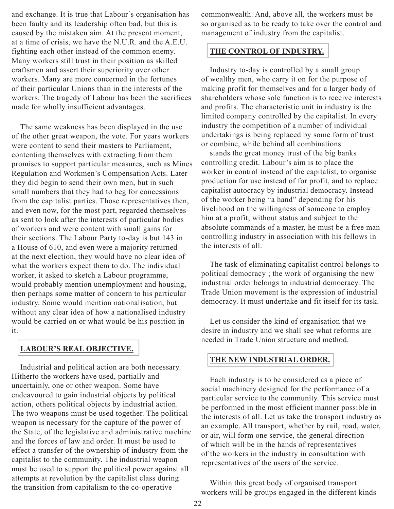and exchange. It is true that Labour's organisation has been faulty and its leadership often bad, but this is caused by the mistaken aim. At the present moment, at a time of crisis, we have the N.U.R. and the A.E.U. fighting each other instead of the common enemy. Many workers still trust in their position as skilled craftsmen and assert their superiority over other workers. Many are more concerned in the fortunes of their particular Unions than in the interests of the workers. The tragedy of Labour has been the sacrifices made for wholly insufficient advantages.

The same weakness has been displayed in the use of the other great weapon, the vote. For years workers were content to send their masters to Parliament, contenting themselves with extracting from them promises to support particular measures, such as Mines Regulation and Workmen's Compensation Acts. Later they did begin to send their own men, but in such small numbers that they had to beg for concessions from the capitalist parties. Those representatives then, and even now, for the most part, regarded themselves as sent to look after the interests of particular bodies of workers and were content with small gains for their sections. The Labour Party to-day is but 143 in a House of 610, and even were a majority returned at the next election, they would have no clear idea of what the workers expect them to do. The individual worker, it asked to sketch a Labour programme, would probably mention unemployment and housing, then perhaps some matter of concern to his particular industry. Some would mention nationalisation, but without any clear idea of how a nationalised industry would be carried on or what would be his position in it.

# **LABOUR'S REAL OBJECTIVE.**

Industrial and political action are both necessary. Hitherto the workers have used, partially and uncertainly, one or other weapon. Some have endeavoured to gain industrial objects by political action, others political objects by industrial action. The two weapons must be used together. The political weapon is necessary for the capture of the power of the State, of the legislative and administrative machine and the forces of law and order. It must be used to effect a transfer of the ownership of industry from the capitalist to the community. The industrial weapon must be used to support the political power against all attempts at revolution by the capitalist class during the transition from capitalism to the co-operative

commonwealth. And, above all, the workers must be so organised as to be ready to take over the control and management of industry from the capitalist.

# **THE CONTROL OF INDUSTRY.**

Industry to-day is controlled by a small group of wealthy men, who carry it on for the purpose of making profit for themselves and for a larger body of shareholders whose sole function is to receive interests and profits. The characteristic unit in industry is the limited company controlled by the capitalist. In every industry the competition of a number of individual undertakings is being replaced by some form of trust or combine, while behind all combinations

stands the great money trust of the big banks controlling credit. Labour's aim is to place the worker in control instead of the capitalist, to organise production for use instead of for profit, and to replace capitalist autocracy by industrial democracy. Instead of the worker being "a hand" depending for his livelihood on the willingness of someone to employ him at a profit, without status and subject to the absolute commands of a master, he must be a free man controlling industry in association with his fellows in the interests of all.

The task of eliminating capitalist control belongs to political democracy ; the work of organising the new industrial order belongs to industrial democracy. The Trade Union movement is the expression of industrial democracy. It must undertake and fit itself for its task.

Let us consider the kind of organisation that we desire in industry and we shall see what reforms are needed in Trade Union structure and method.

## **THE NEW INDUSTRIAL ORDER.**

Each industry is to be considered as a piece of social machinery designed for the performance of a particular service to the community. This service must be performed in the most efficient manner possible in the interests of all. Let us take the transport industry as an example. All transport, whether by rail, road, water, or air, will form one service, the general direction of which will be in the hands of representatives of the workers in the industry in consultation with representatives of the users of the service.

Within this great body of organised transport workers will be groups engaged in the different kinds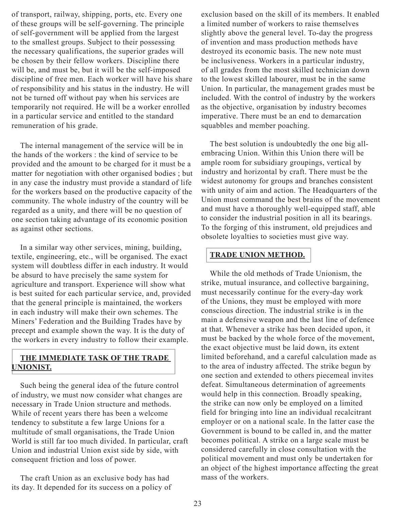of transport, railway, shipping, ports, etc. Every one of these groups will be self-governing. The principle of self-government will be applied from the largest to the smallest groups. Subject to their possessing the necessary qualifications, the superior grades will be chosen by their fellow workers. Discipline there will be, and must be, but it will be the self-imposed discipline of free men. Each worker will have his share of responsibility and his status in the industry. He will not be turned off without pay when his services are temporarily not required. He will be a worker enrolled in a particular service and entitled to the standard remuneration of his grade.

The internal management of the service will be in the hands of the workers : the kind of service to be provided and the amount to be charged for it must be a matter for negotiation with other organised bodies ; but in any case the industry must provide a standard of life for the workers based on the productive capacity of the community. The whole industry of the country will be regarded as a unity, and there will be no question of one section taking advantage of its economic position as against other sections.

In a similar way other services, mining, building, textile, engineering, etc., will be organised. The exact system will doubtless differ in each industry. It would be absurd to have precisely the same system for agriculture and transport. Experience will show what is best suited for each particular service, and, provided that the general principle is maintained, the workers in each industry will make their own schemes. The Miners' Federation and the Building Trades have by precept and example shown the way. It is the duty of the workers in every industry to follow their example.

# **THE IMMEDIATE TASK OF THE TRADE UNIONIST.**

Such being the general idea of the future control of industry, we must now consider what changes are necessary in Trade Union structure and methods. While of recent years there has been a welcome tendency to substitute a few large Unions for a multitude of small organisations, the Trade Union World is still far too much divided. In particular, craft Union and industrial Union exist side by side, with consequent friction and loss of power.

The craft Union as an exclusive body has had its day. It depended for its success on a policy of exclusion based on the skill of its members. It enabled a limited number of workers to raise themselves slightly above the general level. To-day the progress of invention and mass production methods have destroyed its economic basis. The new note must be inclusiveness. Workers in a particular industry, of all grades from the most skilled technician down to the lowest skilled labourer, must be in the same Union. In particular, the management grades must be included. With the control of industry by the workers as the objective, organisation by industry becomes imperative. There must be an end to demarcation squabbles and member poaching.

The best solution is undoubtedly the one big allembracing Union. Within this Union there will be ample room for subsidiary groupings, vertical by industry and horizontal by craft. There must be the widest autonomy for groups and branches consistent with unity of aim and action. The Headquarters of the Union must command the best brains of the movement and must have a thoroughly well-equipped staff, able to consider the industrial position in all its bearings. To the forging of this instrument, old prejudices and obsolete loyalties to societies must give way.

# **TRADE UNION METHOD.**

While the old methods of Trade Unionism, the strike, mutual insurance, and collective bargaining, must necessarily continue for the every-day work of the Unions, they must be employed with more conscious direction. The industrial strike is in the main a defensive weapon and the last line of defence at that. Whenever a strike has been decided upon, it must be backed by the whole force of the movement, the exact objective must be laid down, its extent limited beforehand, and a careful calculation made as to the area of industry affected. The strike begun by one section and extended to others piecemeal invites defeat. Simultaneous determination of agreements would help in this connection. Broadly speaking, the strike can now only be employed on a limited field for bringing into line an individual recalcitrant employer or on a national scale. In the latter case the Government is bound to be called in, and the matter becomes political. A strike on a large scale must be considered carefully in close consultation with the political movement and must only be undertaken for an object of the highest importance affecting the great mass of the workers.